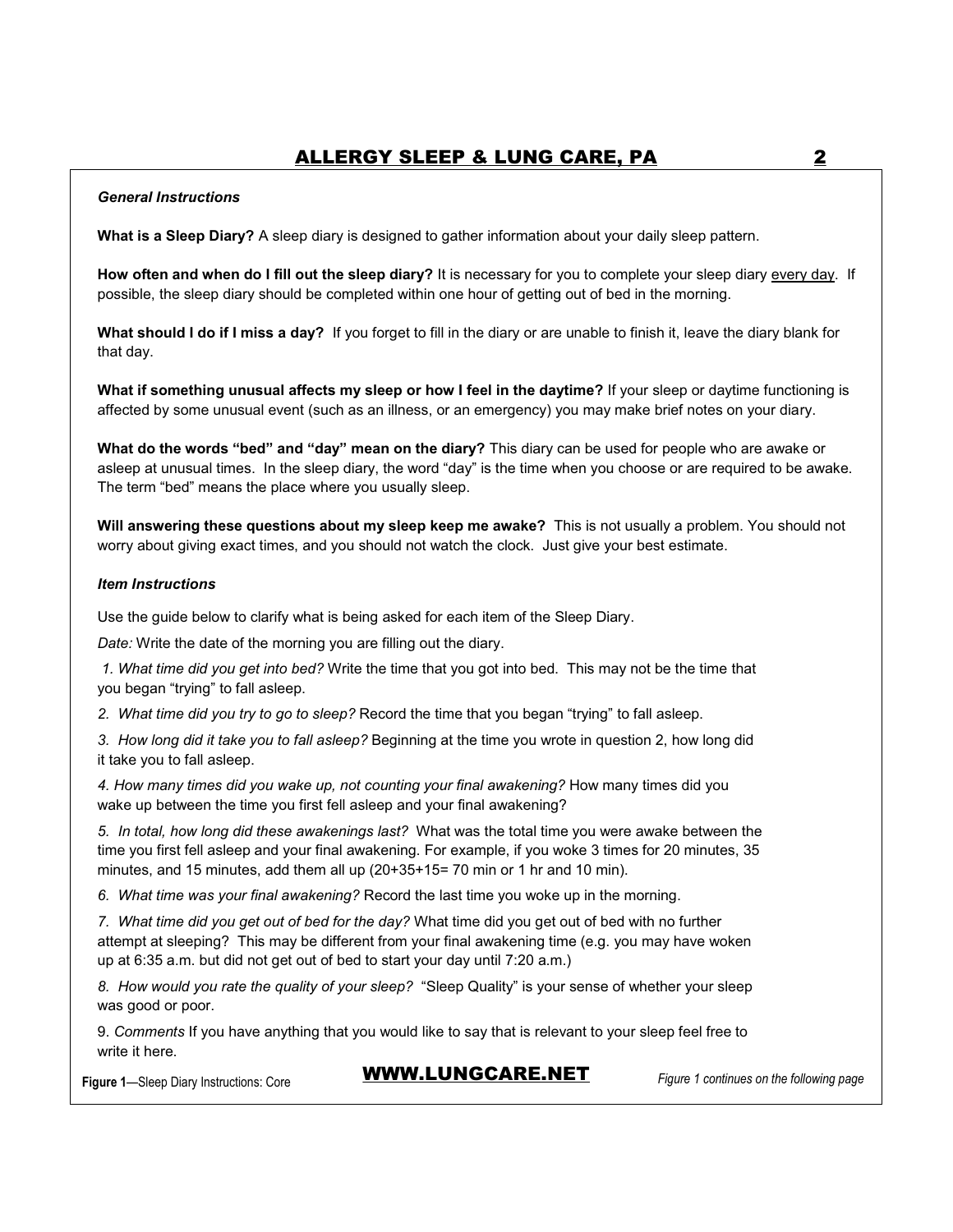## **General Instructions**

What is a Sleep Diary? A sleep diary is designed to gather information about your daily sleep pattern.

How often and when do I fill out the sleep diary? It is necessary for you to complete your sleep diary every day. If possible, the sleep diary should be completed within one hour of getting out of bed in the morning.

What should I do if I miss a day? If you forget to fill in the diary or are unable to finish it, leave the diary blank for that day.

What if something unusual affects my sleep or how I feel in the daytime? If your sleep or daytime functioning is affected by some unusual event (such as an illness, or an emergency) you may make brief notes on your diary.

What do the words "bed" and "day" mean on the diary? This diary can be used for people who are awake or asleep at unusual times. In the sleep diary, the word "day" is the time when you choose or are required to be awake. The term "bed" means the place where you usually sleep.

Will answering these questions about my sleep keep me awake? This is not usually a problem. You should not worry about giving exact times, and you should not watch the clock. Just give your best estimate.

## **Item Instructions**

Use the guide below to clarify what is being asked for each item of the Sleep Diary.

Date: Write the date of the morning you are filling out the diary.

1. What time did you get into bed? Write the time that you got into bed. This may not be the time that you began "trying" to fall asleep.

2. What time did you try to go to sleep? Record the time that you began "trying" to fall asleep.

3. How long did it take you to fall asleep? Beginning at the time you wrote in question 2, how long did it take you to fall asleep.

4. How many times did you wake up, not counting your final awakening? How many times did you wake up between the time you first fell asleep and your final awakening?

5. In total, how long did these awakenings last? What was the total time you were awake between the time you first fell asleep and your final awakening. For example, if you woke 3 times for 20 minutes, 35 minutes, and 15 minutes, add them all up  $(20+35+15=70$  min or 1 hr and 10 min).

6. What time was your final awakening? Record the last time you woke up in the morning.

7. What time did you get out of bed for the day? What time did you get out of bed with no further attempt at sleeping? This may be different from your final awakening time (e.g. you may have woken up at 6:35 a.m. but did not get out of bed to start your day until 7:20 a.m.)

8. How would you rate the quality of your sleep? "Sleep Quality" is your sense of whether your sleep was good or poor.

9. Comments If you have anything that you would like to say that is relevant to your sleep feel free to write it here.

Figure 1-Sleep Diary Instructions: Core

## **WWW.LUNGCARE.NET**

Figure 1 continues on the following page